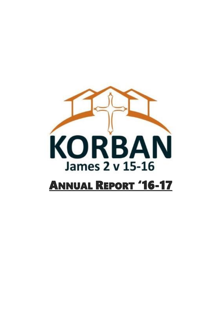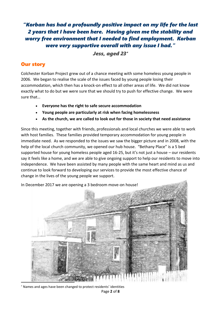# *"Korban has had a profoundly positive impact on my life for the last 2 years that I have been here. Having given me the stability and worry free environment that I needed to find employment. Korban were very supportive overall with any issue I had."*

*Jess, aged 23*

## Our story

Colchester Korban Project grew out of a chance meeting with some homeless young people in 2006. We began to realise the scale of the issues faced by young people losing their accommodation, which then has a knock-on effect to all other areas of life. We did not know exactly what to do but we were sure that we should try to push for effective change. We were sure that…

- **Everyone has the right to safe secure accommodation**
- **Young people are particularly at risk when facing homelessness**
- **As the church, we are called to look out for those in society that need assistance**

Since this meeting, together with friends, professionals and local churches we were able to work with host families. These families provided temporary accommodation for young people in immediate need. As we responded to the issues we saw the bigger picture and in 2008, with the help of the local church community, we opened our hub house. "Bethany Place" is a 5 bed supported house for young homeless people aged 16-25, but it's not just a house – our residents say it feels like a home, and we are able to give ongoing support to help our residents to move into independence. We have been assisted by many people with the same heart and mind as us and continue to look forward to developing our services to provide the most effective chance of change in the lives of the young people we support.



In December 2017 we are opening a 3 bedroom move-on house!

Page **2** of **8** Names and ages have been changed to protect residents' identities

**.**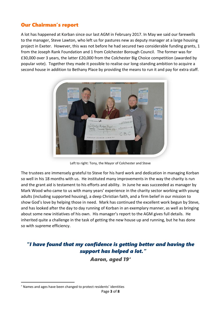## Our Chairman's report

A lot has happened at Korban since our last AGM in February 2017. In May we said our farewells to the manager, Steve Lawton, who left us for pastures new as deputy manager at a large housing project in Exeter. However, this was not before he had secured two considerable funding grants, 1 from the Joseph Rank Foundation and 1 from Colchester Borough Council. The former was for £30,000 over 3 years, the latter £20,000 from the Colchester Big Choice competition (awarded by popular vote). Together they made it possible to realise our long-standing ambition to acquire a second house in addition to Bethany Place by providing the means to run it and pay for extra staff.



Left to right: Tony, the Mayor of Colchester and Steve

The trustees are immensely grateful to Steve for his hard work and dedication in managing Korban so well in his 18 months with us. He instituted many improvements in the way the charity is run and the grant aid is testament to his efforts and ability. In June he was succeeded as manager by Mark Wood who came to us with many years' experience in the charity sector working with young adults (including supported housing), a deep Christian faith, and a firm belief in our mission to show God's love by helping those in need. Mark has continued the excellent work begun by Steve, and has looked after the day to day running of Korban in an exemplary manner, as well as bringing about some new initiatives of his own. His manager's report to the AGM gives full details. He inherited quite a challenge in the task of getting the new house up and running, but he has done so with supreme efficiency.

# *"I have found that my confidence is getting better and having the support has helped a lot."*

*Aaron, aged 19*

**.** 

Names and ages have been changed to protect residents' identities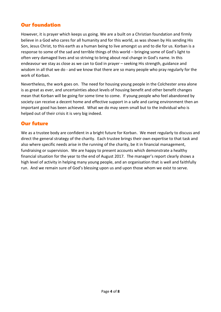## Our foundation

However, it is prayer which keeps us going. We are a built on a Christian foundation and firmly believe in a God who cares for all humanity and for this world, as was shown by His sending His Son, Jesus Christ, to this earth as a human being to live amongst us and to die for us. Korban is a response to some of the sad and terrible things of this world – bringing some of God's light to often very damaged lives and so striving to bring about real change in God's name. In this endeavour we stay as close as we can to God in prayer – seeking His strength, guidance and wisdom in all that we do - and we know that there are so many people who pray regularly for the work of Korban.

Nevertheless, the work goes on. The need for housing young people in the Colchester area alone is as great as ever, and uncertainties about levels of housing benefit and other benefit changes mean that Korban will be going for some time to come. If young people who feel abandoned by society can receive a decent home and effective support in a safe and caring environment then an important good has been achieved. What we do may seem small but to the individual who is helped out of their crisis it is very big indeed.

## Our future

We as a trustee body are confident in a bright future for Korban. We meet regularly to discuss and direct the general strategy of the charity. Each trustee brings their own expertise to that task and also where specific needs arise in the running of the charity, be it in financial management, fundraising or supervision. We are happy to present accounts which demonstrate a healthy financial situation for the year to the end of August 2017. The manager's report clearly shows a high level of activity in helping many young people, and an organisation that is well and faithfully run. And we remain sure of God's blessing upon us and upon those whom we exist to serve.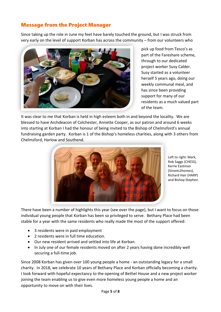## Message from the Project Manager

Since taking up the role in June my feet have barely touched the ground, but I was struck from very early on the level of support Korban has across the community – from our volunteers who



pick up food from Tesco's as part of the Fareshare scheme, through to our dedicated project worker Susy Calder. Susy started as a volunteer herself 5 years ago, doing our weekly communal meal, and has since been providing support for many of our residents as a much valued part of the team.

It was clear to me that Korban is held in high esteem both in and beyond the locality. We are blessed to have Archdeacon of Colchester, Annette Cooper, as our patron and around 6 weeks into starting at Korban I had the honour of being invited to the Bishop of Chelmsford's annual fundraising garden party. Korban is 1 of the Bishop's homeless charities, along with 3 others from Chelmsford, Harlow and Southend.



Left to right: Mark, Rob Saggs (CHESS), Kerrie Eastman (Streets2homes), Richard Hair (HARP) and Bishop Stephen.

There have been a number of highlights this year (see over the page), but I want to focus on those individual young people that Korban has been so privileged to serve. Bethany Place had been stable for a year with the same residents who really made the most of the support offered:

- 3 residents were in paid employment
- 2 residents were in full time education.
- Our new resident arrived and settled into life at Korban.
- In July one of our female residents moved on after 2 years having done incredibly well securing a full-time job.

Since 2008 Korban has given over 100 young people a home - an outstanding legacy for a small charity. In 2018, we celebrate 10 years of Bethany Place and Korban officially becoming a charity. I look forward with hopeful expectancy to the opening of Bethel House and a new project worker joining the team enabling us to give even more homeless young people a home and an opportunity to move on with their lives.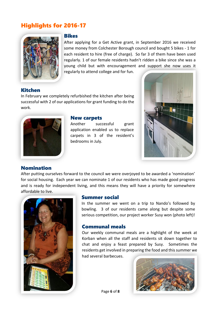# Highlights for 2016-17



#### Bikes

After applying for a Get Active grant, in September 2016 we received some money from Colchester Borough council and bought 5 bikes - 1 for each resident to hire (free of charge). So far 3 of them have been used regularly. 1 of our female residents hadn't ridden a bike since she was a young child but with encouragement and support she now uses it regularly to attend college and for fun.

Kitchen

In February we completely refurbished the kitchen after being successful with 2 of our applications for grant funding to do the work.



#### New carpets

Another successful grant application enabled us to replace carpets in 3 of the resident's bedrooms in July.



## Nomination

After putting ourselves forward to the council we were overjoyed to be awarded a 'nomination' for social housing. Each year we can nominate 1 of our residents who has made good progress and is ready for independent living, and this means they will have a priority for somewhere affordable to live.



#### Summer social

In the summer we went on a trip to Nando's followed by bowling. 3 of our residents came along but despite some serious competition, our project worker Susy won (photo left)!

## Communal meals

Our weekly communal meals are a highlight of the week at Korban when all the staff and residents sit down together to chat and enjoy a feast prepared by Susy. Sometimes the residents get involved in preparing the food and this summer we had several barbecues.

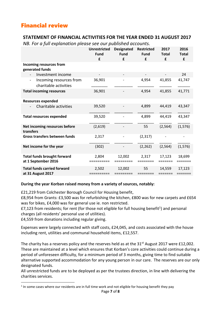# Financial review

## **STATEMENT OF FINANCIAL ACTIVITIES FOR THE YEAR ENDED 31 AUGUST 2017**

*NB. For a full explanation please see our published accounts.*

|                                                                    | <b>Unrestricted</b><br><b>Fund</b><br>£ | <b>Designated</b><br><b>Fund</b><br>f | <b>Restricted</b><br><b>Fund</b><br>£ | 2017<br><b>Total</b><br>£ | 2016<br><b>Total</b><br>£ |
|--------------------------------------------------------------------|-----------------------------------------|---------------------------------------|---------------------------------------|---------------------------|---------------------------|
| Incoming resources from<br>generated funds                         |                                         |                                       |                                       |                           |                           |
| Investment income                                                  | $\qquad \qquad -$                       |                                       | $\overline{a}$                        |                           | 24                        |
| Incoming resources from<br>$\blacksquare$<br>charitable activities | 36,901                                  |                                       | 4,954                                 | 41,855                    | 41,747                    |
| <b>Total incoming resources</b>                                    | 36,901                                  |                                       | 4,954                                 | 41,855                    | 41,771                    |
| <b>Resources expended</b>                                          |                                         |                                       |                                       |                           |                           |
| Charitable activities                                              | 39,520                                  |                                       | 4,899                                 | 44,419                    | 43,347                    |
| <b>Total resources expended</b>                                    | 39,520                                  |                                       | 4,899                                 | 44,419                    | 43,347                    |
| Net incoming resources before<br>transfers                         | (2,619)                                 |                                       | 55                                    | (2, 564)                  | (1, 576)                  |
| <b>Gross transfers between funds</b>                               | 2,317                                   |                                       | (2, 317)                              |                           |                           |
| Net income for the year                                            | (302)                                   |                                       | (2, 262)                              | (2, 564)                  | (1, 576)                  |
| <b>Total funds brought forward</b><br>at 1 September 2016          | 2,804<br>========                       | 12,002<br>======                      | 2,317<br>======                       | 17,123<br>=======         | 18,699<br>=======         |
| <b>Total funds carried forward</b><br>at 31 August 2017            | 2,502<br>==========                     | 12,002<br>=========                   | 55<br>========                        | 14,559<br>=======         | 17,123<br>=======         |

#### **During the year Korban raised money from a variety of sources, notably:**

£21,219 from Colchester Borough Council for Housing benefit,

£8,954 from Grants: £3,500 was for refurbishing the kitchen, £800 was for new carpets and £654 was for bikes, £4,000 was for general use ie. non restricted.

£7,123 from residents; for rent (for those not eligible for full housing benefit<sup>1</sup>) and personal charges (all residents' personal use of utilities).

£4,559 from donations including regular giving.

**.** 

Expenses were largely connected with staff costs, £24,045, and costs associated with the house including rent, utilities and communal household items, £12,557.

The charity has a reserves policy and the reserves held as at the 31<sup>st</sup> August 2017 were £12,002. These are maintained at a level which ensures that Korban's core activities could continue during a period of unforeseen difficulty, for a minimum period of 3 months, giving time to find suitable alternative supported accommodation for any young person in our care. The reserves are our only designated funds.

All unrestricted funds are to be deployed as per the trustees direction, in line with delivering the charities services.

 $<sup>1</sup>$  In some cases where our residents are in full time work and not eligible for housing benefit they pay</sup>